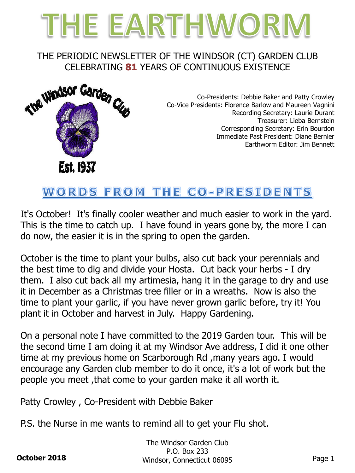

#### THE PERIODIC NEWSLETTER OF THE WINDSOR (CT) GARDEN CLUB CELEBRATING **81** YEARS OF CONTINUOUS EXISTENCE



Co-Presidents: Debbie Baker and Patty Crowley Co-Vice Presidents: Florence Barlow and Maureen Vagnini Recording Secretary: Laurie Durant Treasurer: Lieba Bernstein Corresponding Secretary: Erin Bourdon Immediate Past President: Diane Bernier Earthworm Editor: Jim Bennett

# WORDS FROM THE CO-PRESIDENTS

It's October! It's finally cooler weather and much easier to work in the yard. This is the time to catch up. I have found in years gone by, the more I can do now, the easier it is in the spring to open the garden.

October is the time to plant your bulbs, also cut back your perennials and the best time to dig and divide your Hosta. Cut back your herbs - I dry them. I also cut back all my artimesia, hang it in the garage to dry and use it in December as a Christmas tree filler or in a wreaths. Now is also the time to plant your garlic, if you have never grown garlic before, try it! You plant it in October and harvest in July. Happy Gardening.

On a personal note I have committed to the 2019 Garden tour. This will be the second time I am doing it at my Windsor Ave address, I did it one other time at my previous home on Scarborough Rd ,many years ago. I would encourage any Garden club member to do it once, it's a lot of work but the people you meet ,that come to your garden make it all worth it.

Patty Crowley , Co-President with Debbie Baker

P.S. the Nurse in me wants to remind all to get your Flu shot.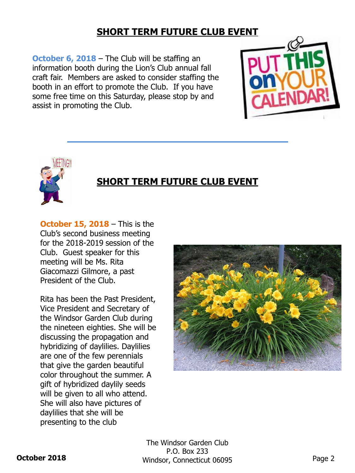### **SHORT TERM FUTURE CLUB EVENT**

**October 6, 2018** – The Club will be staffing an information booth during the Lion's Club annual fall craft fair. Members are asked to consider staffing the booth in an effort to promote the Club. If you have some free time on this Saturday, please stop by and assist in promoting the Club.





### **SHORT TERM FUTURE CLUB EVENT**

**October 15, 2018** – This is the Club's second business meeting for the 2018-2019 session of the Club. Guest speaker for this meeting will be Ms. Rita Giacomazzi Gilmore, a past President of the Club.

Rita has been the Past President, Vice President and Secretary of the Windsor Garden Club during the nineteen eighties. She will be discussing the propagation and hybridizing of daylilies. Daylilies are one of the few perennials that give the garden beautiful color throughout the summer. A gift of hybridized daylily seeds will be given to all who attend. She will also have pictures of daylilies that she will be presenting to the club

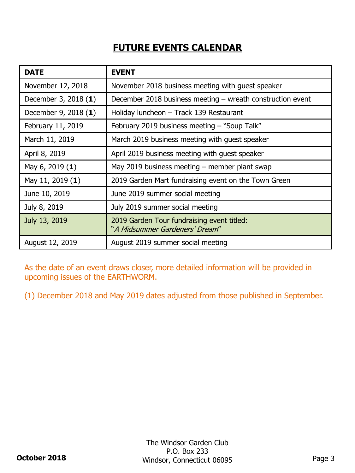## **FUTURE EVENTS CALENDAR**

| <b>DATE</b>          | <b>EVENT</b>                                                                 |
|----------------------|------------------------------------------------------------------------------|
| November 12, 2018    | November 2018 business meeting with guest speaker                            |
| December 3, 2018 (1) | December 2018 business meeting - wreath construction event                   |
| December 9, 2018 (1) | Holiday luncheon - Track 139 Restaurant                                      |
| February 11, 2019    | February 2019 business meeting - "Soup Talk"                                 |
| March 11, 2019       | March 2019 business meeting with guest speaker                               |
| April 8, 2019        | April 2019 business meeting with guest speaker                               |
| May 6, 2019 (1)      | May 2019 business meeting $-$ member plant swap                              |
| May 11, 2019 (1)     | 2019 Garden Mart fundraising event on the Town Green                         |
| June 10, 2019        | June 2019 summer social meeting                                              |
| July 8, 2019         | July 2019 summer social meeting                                              |
| July 13, 2019        | 2019 Garden Tour fundraising event titled:<br>"A Midsummer Gardeners' Dream" |
| August 12, 2019      | August 2019 summer social meeting                                            |

As the date of an event draws closer, more detailed information will be provided in upcoming issues of the EARTHWORM.

(1) December 2018 and May 2019 dates adjusted from those published in September.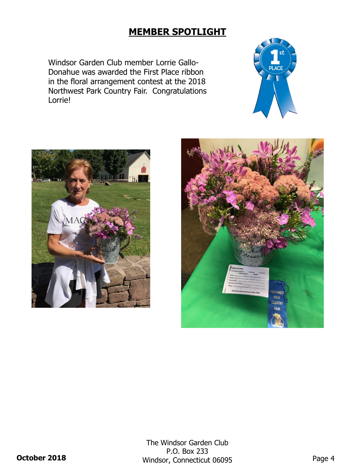#### **MEMBER SPOTLIGHT**

Windsor Garden Club member Lorrie Gallo-Donahue was awarded the First Place ribbon in the floral arrangement contest at the 2018 Northwest Park Country Fair. Congratulations Lorrie!





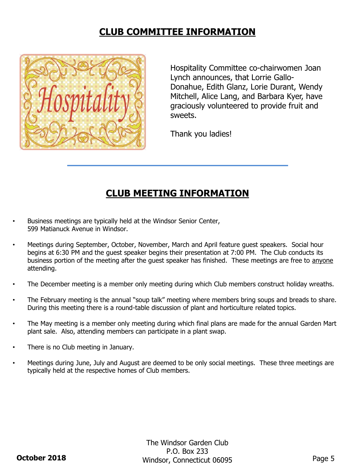#### **CLUB COMMITTEE INFORMATION**



Hospitality Committee co-chairwomen Joan Lynch announces, that Lorrie Gallo-Donahue, Edith Glanz, Lorie Durant, Wendy Mitchell, Alice Lang, and Barbara Kyer, have graciously volunteered to provide fruit and sweets.

Thank you ladies!

#### **CLUB MEETING INFORMATION**

- Business meetings are typically held at the Windsor Senior Center, 599 Matianuck Avenue in Windsor.
- Meetings during September, October, November, March and April feature guest speakers. Social hour begins at 6:30 PM and the guest speaker begins their presentation at 7:00 PM. The Club conducts its business portion of the meeting after the guest speaker has finished. These meetings are free to anyone attending.
- The December meeting is a member only meeting during which Club members construct holiday wreaths.
- The February meeting is the annual "soup talk" meeting where members bring soups and breads to share. During this meeting there is a round-table discussion of plant and horticulture related topics.
- The May meeting is a member only meeting during which final plans are made for the annual Garden Mart plant sale. Also, attending members can participate in a plant swap.
- There is no Club meeting in January.
- Meetings during June, July and August are deemed to be only social meetings. These three meetings are typically held at the respective homes of Club members.